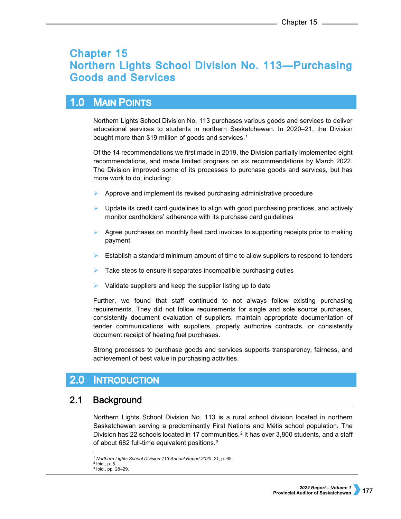# **Chapter 15 Northern Lights School Division No. 113-Purchasing Goods and Services**

### $1.0$ **MAIN POINTS**

Northern Lights School Division No. 113 purchases various goods and services to deliver educational services to students in northern Saskatchewan. In 2020–21, the Division bought more than \$[1](#page-0-0)9 million of goods and services.<sup>1</sup>

Of the 14 recommendations we first made in 2019, the Division partially implemented eight recommendations, and made limited progress on six recommendations by March 2022. The Division improved some of its processes to purchase goods and services, but has more work to do, including:

- Approve and implement its revised purchasing administrative procedure
- $\triangleright$  Update its credit card guidelines to align with good purchasing practices, and actively monitor cardholders' adherence with its purchase card guidelines
- $\triangleright$  Agree purchases on monthly fleet card invoices to supporting receipts prior to making payment
- $\triangleright$  Establish a standard minimum amount of time to allow suppliers to respond to tenders
- Take steps to ensure it separates incompatible purchasing duties
- Validate suppliers and keep the supplier listing up to date

Further, we found that staff continued to not always follow existing purchasing requirements. They did not follow requirements for single and sole source purchases, consistently document evaluation of suppliers, maintain appropriate documentation of tender communications with suppliers, properly authorize contracts, or consistently document receipt of heating fuel purchases.

Strong processes to purchase goods and services supports transparency, fairness, and achievement of best value in purchasing activities.

### $2.0$ **INTRODUCTION**

### $2.1$ **Background**

Northern Lights School Division No. 113 is a rural school division located in northern Saskatchewan serving a predominantly First Nations and Métis school population. The Division has [2](#page-0-1)2 schools located in 17 communities.<sup>2</sup> It has over 3,800 students, and a staff of about 682 full-time equivalent positions.<sup>[3](#page-0-2)</sup>

 <sup>1</sup> *Northern Lights School Division 113 Annual Report 2020–21*, p. 65.

<span id="page-0-2"></span><span id="page-0-1"></span><span id="page-0-0"></span><sup>2</sup> Ibid., p. 8.

<sup>3</sup> Ibid., pp. 28–29.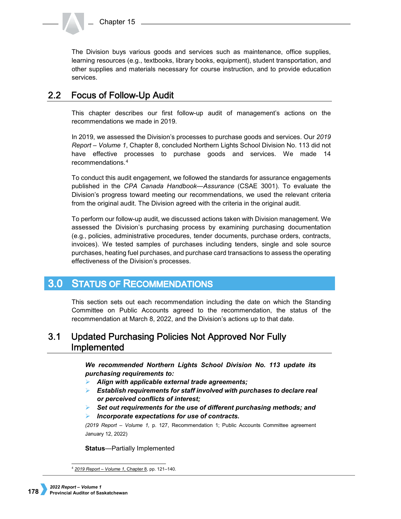Chapter 15

The Division buys various goods and services such as maintenance, office supplies, learning resources (e.g., textbooks, library books, equipment), student transportation, and other supplies and materials necessary for course instruction, and to provide education services.

### **Focus of Follow-Up Audit**  $2.2<sub>2</sub>$

This chapter describes our first follow-up audit of management's actions on the recommendations we made in 2019.

In 2019, we assessed the Division's processes to purchase goods and services. Our *2019 Report – Volume 1*, Chapter 8, concluded Northern Lights School Division No. 113 did not have effective processes to purchase goods and services. We made 14 recommendations.[4](#page-1-0)

To conduct this audit engagement, we followed the standards for assurance engagements published in the *CPA Canada Handbook—Assurance* (CSAE 3001). To evaluate the Division's progress toward meeting our recommendations, we used the relevant criteria from the original audit. The Division agreed with the criteria in the original audit.

To perform our follow-up audit, we discussed actions taken with Division management. We assessed the Division's purchasing process by examining purchasing documentation (e.g., policies, administrative procedures, tender documents, purchase orders, contracts, invoices). We tested samples of purchases including tenders, single and sole source purchases, heating fuel purchases, and purchase card transactions to assess the operating effectiveness of the Division's processes.

### $3.0<sub>1</sub>$ **STATUS OF RECOMMENDATIONS**

This section sets out each recommendation including the date on which the Standing Committee on Public Accounts agreed to the recommendation, the status of the recommendation at March 8, 2022, and the Division's actions up to that date.

### $3.1$ Updated Purchasing Policies Not Approved Nor Fully Implemented

*We recommended Northern Lights School Division No. 113 update its purchasing requirements to:*

- *Align with applicable external trade agreements;*
- *Establish requirements for staff involved with purchases to declare real or perceived conflicts of interest;*
- *Set out requirements for the use of different purchasing methods; and*
- *Incorporate expectations for use of contracts.*

*(2019 Report – Volume 1,* p. 127, Recommendation 1; Public Accounts Committee agreement January 12, 2022)

**Status**—Partially Implemented

<span id="page-1-0"></span> <sup>4</sup> *[2019 Report – Volume 1](https://auditor.sk.ca/pub/publications/public_reports/2019/Volume_1/08_Northern%20Lights%20School%20Division%20No.%20113%E2%80%94Purchasing%20Goods%20and%20Services.pdf)*, Chapter 8, pp. 121–140.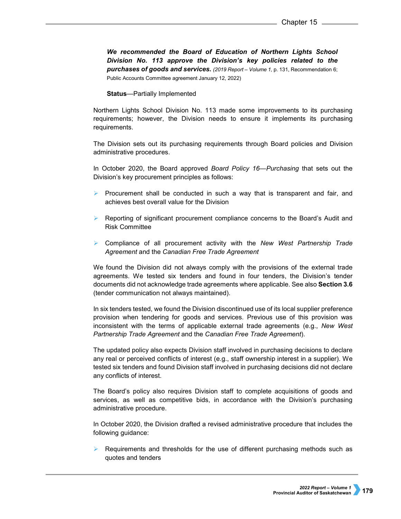*We recommended the Board of Education of Northern Lights School Division No. 113 approve the Division's key policies related to the purchases of goods and services. (2019 Report – Volume 1,* p. 131, Recommendation 6; Public Accounts Committee agreement January 12, 2022)

**Status**—Partially Implemented

Northern Lights School Division No. 113 made some improvements to its purchasing requirements; however, the Division needs to ensure it implements its purchasing requirements.

The Division sets out its purchasing requirements through Board policies and Division administrative procedures.

In October 2020, the Board approved *Board Policy 16—Purchasing* that sets out the Division's key procurement principles as follows:

- Procurement shall be conducted in such a way that is transparent and fair, and achieves best overall value for the Division
- $\triangleright$  Reporting of significant procurement compliance concerns to the Board's Audit and Risk Committee
- Compliance of all procurement activity with the *New West Partnership Trade Agreement* and the *Canadian Free Trade Agreement*

We found the Division did not always comply with the provisions of the external trade agreements. We tested six tenders and found in four tenders, the Division's tender documents did not acknowledge trade agreements where applicable. See also **Section 3.6**  (tender communication not always maintained).

In six tenders tested, we found the Division discontinued use of its local supplier preference provision when tendering for goods and services. Previous use of this provision was inconsistent with the terms of applicable external trade agreements (e.g., *New West Partnership Trade Agreement* and the *Canadian Free Trade Agreement*).

The updated policy also expects Division staff involved in purchasing decisions to declare any real or perceived conflicts of interest (e.g., staff ownership interest in a supplier). We tested six tenders and found Division staff involved in purchasing decisions did not declare any conflicts of interest.

The Board's policy also requires Division staff to complete acquisitions of goods and services, as well as competitive bids, in accordance with the Division's purchasing administrative procedure.

In October 2020, the Division drafted a revised administrative procedure that includes the following guidance:

 Requirements and thresholds for the use of different purchasing methods such as quotes and tenders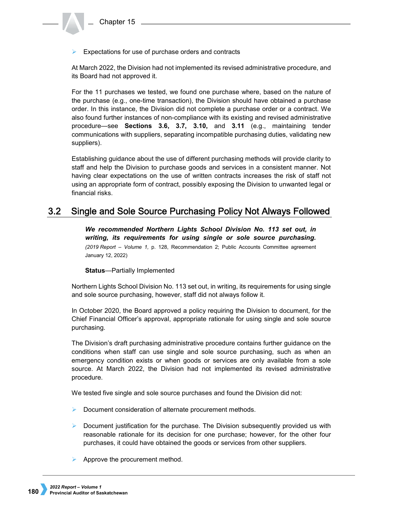$\triangleright$  Expectations for use of purchase orders and contracts

At March 2022, the Division had not implemented its revised administrative procedure, and its Board had not approved it.

For the 11 purchases we tested, we found one purchase where, based on the nature of the purchase (e.g., one-time transaction), the Division should have obtained a purchase order. In this instance, the Division did not complete a purchase order or a contract. We also found further instances of non-compliance with its existing and revised administrative procedure—see **Sections 3.6, 3.7, 3.10,** and **3.11** (e.g., maintaining tender communications with suppliers, separating incompatible purchasing duties, validating new suppliers).

Establishing guidance about the use of different purchasing methods will provide clarity to staff and help the Division to purchase goods and services in a consistent manner. Not having clear expectations on the use of written contracts increases the risk of staff not using an appropriate form of contract, possibly exposing the Division to unwanted legal or financial risks.

### $3.2$ Single and Sole Source Purchasing Policy Not Always Followed

*We recommended Northern Lights School Division No. 113 set out, in writing, its requirements for using single or sole source purchasing. (2019 Report – Volume 1,* p. 128, Recommendation 2; Public Accounts Committee agreement January 12, 2022)

**Status**—Partially Implemented

Northern Lights School Division No. 113 set out, in writing, its requirements for using single and sole source purchasing, however, staff did not always follow it.

In October 2020, the Board approved a policy requiring the Division to document, for the Chief Financial Officer's approval, appropriate rationale for using single and sole source purchasing.

The Division's draft purchasing administrative procedure contains further guidance on the conditions when staff can use single and sole source purchasing, such as when an emergency condition exists or when goods or services are only available from a sole source. At March 2022, the Division had not implemented its revised administrative procedure.

We tested five single and sole source purchases and found the Division did not:

- **Document consideration of alternate procurement methods.**
- $\triangleright$  Document justification for the purchase. The Division subsequently provided us with reasonable rationale for its decision for one purchase; however, for the other four purchases, it could have obtained the goods or services from other suppliers.
- $\triangleright$  Approve the procurement method.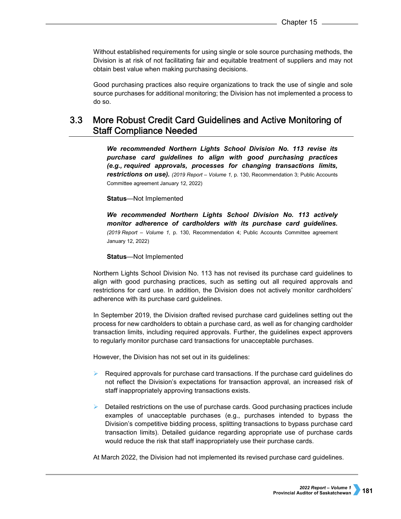Without established requirements for using single or sole source purchasing methods, the Division is at risk of not facilitating fair and equitable treatment of suppliers and may not obtain best value when making purchasing decisions.

Good purchasing practices also require organizations to track the use of single and sole source purchases for additional monitoring; the Division has not implemented a process to do so.

### $3.3<sub>1</sub>$ More Robust Credit Card Guidelines and Active Monitoring of **Staff Compliance Needed**

*We recommended Northern Lights School Division No. 113 revise its purchase card guidelines to align with good purchasing practices (e.g., required approvals, processes for changing transactions limits, restrictions on use). (2019 Report – Volume 1,* p. 130, Recommendation 3; Public Accounts Committee agreement January 12, 2022)

### **Status**—Not Implemented

*We recommended Northern Lights School Division No. 113 actively monitor adherence of cardholders with its purchase card guidelines. (2019 Report – Volume 1,* p. 130, Recommendation 4; Public Accounts Committee agreement January 12, 2022)

### **Status**—Not Implemented

Northern Lights School Division No. 113 has not revised its purchase card guidelines to align with good purchasing practices, such as setting out all required approvals and restrictions for card use. In addition, the Division does not actively monitor cardholders' adherence with its purchase card guidelines.

In September 2019, the Division drafted revised purchase card guidelines setting out the process for new cardholders to obtain a purchase card, as well as for changing cardholder transaction limits, including required approvals. Further, the guidelines expect approvers to regularly monitor purchase card transactions for unacceptable purchases.

However, the Division has not set out in its guidelines:

- Required approvals for purchase card transactions. If the purchase card guidelines do not reflect the Division's expectations for transaction approval, an increased risk of staff inappropriately approving transactions exists.
- $\triangleright$  Detailed restrictions on the use of purchase cards. Good purchasing practices include examples of unacceptable purchases (e.g., purchases intended to bypass the Division's competitive bidding process, splitting transactions to bypass purchase card transaction limits). Detailed guidance regarding appropriate use of purchase cards would reduce the risk that staff inappropriately use their purchase cards.

At March 2022, the Division had not implemented its revised purchase card guidelines.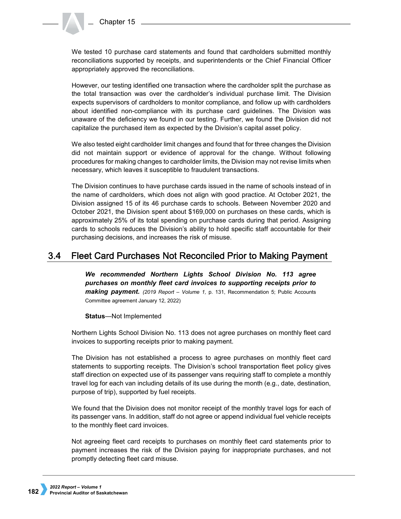We tested 10 purchase card statements and found that cardholders submitted monthly reconciliations supported by receipts, and superintendents or the Chief Financial Officer appropriately approved the reconciliations.

However, our testing identified one transaction where the cardholder split the purchase as the total transaction was over the cardholder's individual purchase limit. The Division expects supervisors of cardholders to monitor compliance, and follow up with cardholders about identified non-compliance with its purchase card guidelines. The Division was unaware of the deficiency we found in our testing. Further, we found the Division did not capitalize the purchased item as expected by the Division's capital asset policy.

We also tested eight cardholder limit changes and found that for three changes the Division did not maintain support or evidence of approval for the change. Without following procedures for making changes to cardholder limits, the Division may not revise limits when necessary, which leaves it susceptible to fraudulent transactions.

The Division continues to have purchase cards issued in the name of schools instead of in the name of cardholders, which does not align with good practice. At October 2021, the Division assigned 15 of its 46 purchase cards to schools. Between November 2020 and October 2021, the Division spent about \$169,000 on purchases on these cards, which is approximately 25% of its total spending on purchase cards during that period. Assigning cards to schools reduces the Division's ability to hold specific staff accountable for their purchasing decisions, and increases the risk of misuse.

#### $3.4$ Fleet Card Purchases Not Reconciled Prior to Making Payment

*We recommended Northern Lights School Division No. 113 agree purchases on monthly fleet card invoices to supporting receipts prior to making payment. (2019 Report – Volume 1,* p. 131, Recommendation 5; Public Accounts Committee agreement January 12, 2022)

**Status**—Not Implemented

Northern Lights School Division No. 113 does not agree purchases on monthly fleet card invoices to supporting receipts prior to making payment.

The Division has not established a process to agree purchases on monthly fleet card statements to supporting receipts. The Division's school transportation fleet policy gives staff direction on expected use of its passenger vans requiring staff to complete a monthly travel log for each van including details of its use during the month (e.g., date, destination, purpose of trip), supported by fuel receipts.

We found that the Division does not monitor receipt of the monthly travel logs for each of its passenger vans. In addition, staff do not agree or append individual fuel vehicle receipts to the monthly fleet card invoices.

Not agreeing fleet card receipts to purchases on monthly fleet card statements prior to payment increases the risk of the Division paying for inappropriate purchases, and not promptly detecting fleet card misuse.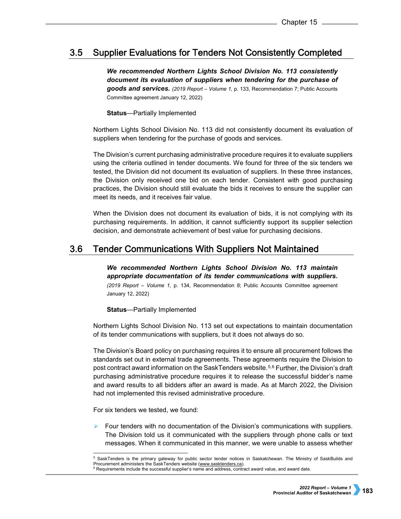### $3.5$ **Supplier Evaluations for Tenders Not Consistently Completed**

*We recommended Northern Lights School Division No. 113 consistently document its evaluation of suppliers when tendering for the purchase of goods and services. (2019 Report – Volume 1,* p. 133, Recommendation 7; Public Accounts Committee agreement January 12, 2022)

**Status**—Partially Implemented

Northern Lights School Division No. 113 did not consistently document its evaluation of suppliers when tendering for the purchase of goods and services.

The Division's current purchasing administrative procedure requires it to evaluate suppliers using the criteria outlined in tender documents. We found for three of the six tenders we tested, the Division did not document its evaluation of suppliers. In these three instances, the Division only received one bid on each tender. Consistent with good purchasing practices, the Division should still evaluate the bids it receives to ensure the supplier can meet its needs, and it receives fair value.

When the Division does not document its evaluation of bids, it is not complying with its purchasing requirements. In addition, it cannot sufficiently support its supplier selection decision, and demonstrate achievement of best value for purchasing decisions.

#### $3.6$ **Tender Communications With Suppliers Not Maintained**

*We recommended Northern Lights School Division No. 113 maintain appropriate documentation of its tender communications with suppliers. (2019 Report – Volume 1,* p. 134, Recommendation 8; Public Accounts Committee agreement January 12, 2022)

**Status**—Partially Implemented

Northern Lights School Division No. 113 set out expectations to maintain documentation of its tender communications with suppliers, but it does not always do so.

The Division's Board policy on purchasing requires it to ensure all procurement follows the standards set out in external trade agreements. These agreements require the Division to post contract award information on the SaskTenders website.<sup>[5](#page-6-0),[6](#page-6-1)</sup> Further, the Division's draft purchasing administrative procedure requires it to release the successful bidder's name and award results to all bidders after an award is made. As at March 2022, the Division had not implemented this revised administrative procedure.

For six tenders we tested, we found:

 Four tenders with no documentation of the Division's communications with suppliers. The Division told us it communicated with the suppliers through phone calls or text messages. When it communicated in this manner, we were unable to assess whether

 <sup>5</sup> SaskTenders is the primary gateway for public sector tender notices in Saskatchewan. The Ministry of SaskBuilds and Procurement administers the SaskTenders website [\(www.sasktenders.ca\).](http://www.sasktenders.ca/)

<span id="page-6-1"></span><span id="page-6-0"></span><sup>&</sup>lt;sup>6</sup> Requirements include the successful supplier's name and address, contract award value, and award date.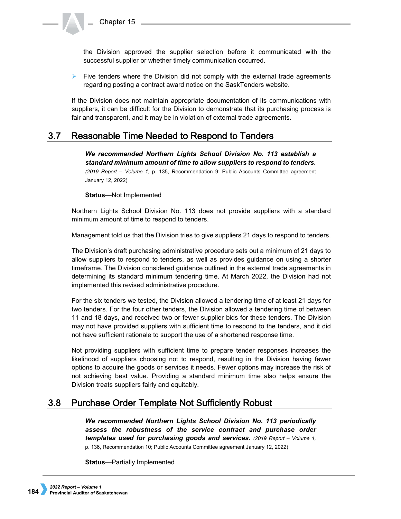the Division approved the supplier selection before it communicated with the successful supplier or whether timely communication occurred.

 $\triangleright$  Five tenders where the Division did not comply with the external trade agreements regarding posting a contract award notice on the SaskTenders website.

If the Division does not maintain appropriate documentation of its communications with suppliers, it can be difficult for the Division to demonstrate that its purchasing process is fair and transparent, and it may be in violation of external trade agreements.

### $3.7$ Reasonable Time Needed to Respond to Tenders

*We recommended Northern Lights School Division No. 113 establish a standard minimum amount of time to allow suppliers to respond to tenders. (2019 Report – Volume 1,* p. 135, Recommendation 9; Public Accounts Committee agreement January 12, 2022)

**Status**—Not Implemented

Northern Lights School Division No. 113 does not provide suppliers with a standard minimum amount of time to respond to tenders.

Management told us that the Division tries to give suppliers 21 days to respond to tenders.

The Division's draft purchasing administrative procedure sets out a minimum of 21 days to allow suppliers to respond to tenders, as well as provides guidance on using a shorter timeframe. The Division considered guidance outlined in the external trade agreements in determining its standard minimum tendering time. At March 2022, the Division had not implemented this revised administrative procedure.

For the six tenders we tested, the Division allowed a tendering time of at least 21 days for two tenders. For the four other tenders, the Division allowed a tendering time of between 11 and 18 days, and received two or fewer supplier bids for these tenders. The Division may not have provided suppliers with sufficient time to respond to the tenders, and it did not have sufficient rationale to support the use of a shortened response time.

Not providing suppliers with sufficient time to prepare tender responses increases the likelihood of suppliers choosing not to respond, resulting in the Division having fewer options to acquire the goods or services it needs. Fewer options may increase the risk of not achieving best value. Providing a standard minimum time also helps ensure the Division treats suppliers fairly and equitably.

### $3.8<sub>1</sub>$ Purchase Order Template Not Sufficiently Robust

*We recommended Northern Lights School Division No. 113 periodically assess the robustness of the service contract and purchase order templates used for purchasing goods and services. (2019 Report – Volume 1,*  p. 136, Recommendation 10; Public Accounts Committee agreement January 12, 2022)

**Status**—Partially Implemented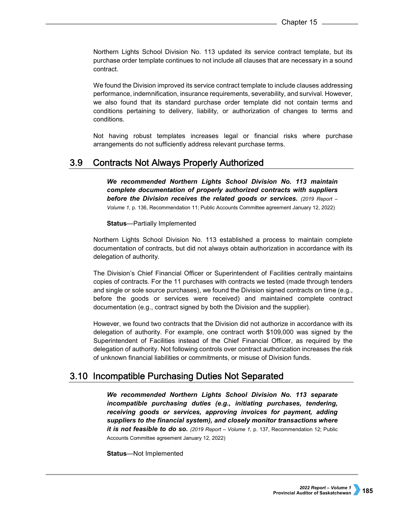Northern Lights School Division No. 113 updated its service contract template, but its purchase order template continues to not include all clauses that are necessary in a sound contract.

We found the Division improved its service contract template to include clauses addressing performance, indemnification, insurance requirements, severability, and survival. However, we also found that its standard purchase order template did not contain terms and conditions pertaining to delivery, liability, or authorization of changes to terms and conditions.

Not having robust templates increases legal or financial risks where purchase arrangements do not sufficiently address relevant purchase terms.

#### $3.9<sub>2</sub>$ **Contracts Not Always Properly Authorized**

*We recommended Northern Lights School Division No. 113 maintain complete documentation of properly authorized contracts with suppliers before the Division receives the related goods or services. (2019 Report – Volume 1,* p. 136, Recommendation 11; Public Accounts Committee agreement January 12, 2022)

**Status**—Partially Implemented

Northern Lights School Division No. 113 established a process to maintain complete documentation of contracts, but did not always obtain authorization in accordance with its delegation of authority.

The Division's Chief Financial Officer or Superintendent of Facilities centrally maintains copies of contracts. For the 11 purchases with contracts we tested (made through tenders and single or sole source purchases), we found the Division signed contracts on time (e.g., before the goods or services were received) and maintained complete contract documentation (e.g., contract signed by both the Division and the supplier).

However, we found two contracts that the Division did not authorize in accordance with its delegation of authority. For example, one contract worth \$109,000 was signed by the Superintendent of Facilities instead of the Chief Financial Officer, as required by the delegation of authority. Not following controls over contract authorization increases the risk of unknown financial liabilities or commitments, or misuse of Division funds.

## 3.10 Incompatible Purchasing Duties Not Separated

*We recommended Northern Lights School Division No. 113 separate incompatible purchasing duties (e.g., initiating purchases, tendering, receiving goods or services, approving invoices for payment, adding suppliers to the financial system), and closely monitor transactions where it is not feasible to do so.* (2019 Report – Volume 1, p. 137, Recommendation 12; Public Accounts Committee agreement January 12, 2022)

**Status**—Not Implemented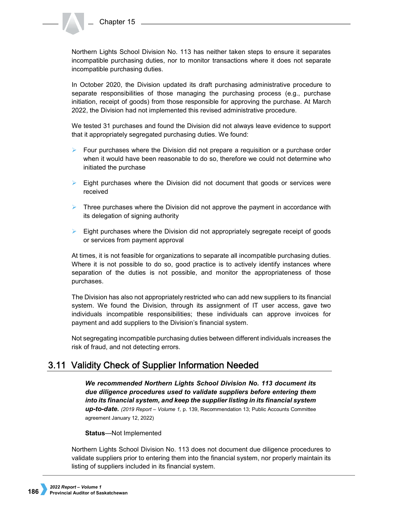Northern Lights School Division No. 113 has neither taken steps to ensure it separates incompatible purchasing duties, nor to monitor transactions where it does not separate incompatible purchasing duties.

In October 2020, the Division updated its draft purchasing administrative procedure to separate responsibilities of those managing the purchasing process (e.g., purchase initiation, receipt of goods) from those responsible for approving the purchase. At March 2022, the Division had not implemented this revised administrative procedure.

We tested 31 purchases and found the Division did not always leave evidence to support that it appropriately segregated purchasing duties. We found:

- $\triangleright$  Four purchases where the Division did not prepare a requisition or a purchase order when it would have been reasonable to do so, therefore we could not determine who initiated the purchase
- $\triangleright$  Eight purchases where the Division did not document that goods or services were received
- $\triangleright$  Three purchases where the Division did not approve the payment in accordance with its delegation of signing authority
- $\triangleright$  Eight purchases where the Division did not appropriately segregate receipt of goods or services from payment approval

At times, it is not feasible for organizations to separate all incompatible purchasing duties. Where it is not possible to do so, good practice is to actively identify instances where separation of the duties is not possible, and monitor the appropriateness of those purchases.

The Division has also not appropriately restricted who can add new suppliers to its financial system. We found the Division, through its assignment of IT user access, gave two individuals incompatible responsibilities; these individuals can approve invoices for payment and add suppliers to the Division's financial system.

Not segregating incompatible purchasing duties between different individuals increases the risk of fraud, and not detecting errors.

## 3.11 Validity Check of Supplier Information Needed

*We recommended Northern Lights School Division No. 113 document its due diligence procedures used to validate suppliers before entering them into its financial system, and keep the supplier listing in its financial system up-to-date. (2019 Report – Volume 1,* p. 139, Recommendation 13; Public Accounts Committee agreement January 12, 2022)

**Status**—Not Implemented

Northern Lights School Division No. 113 does not document due diligence procedures to validate suppliers prior to entering them into the financial system, nor properly maintain its listing of suppliers included in its financial system.